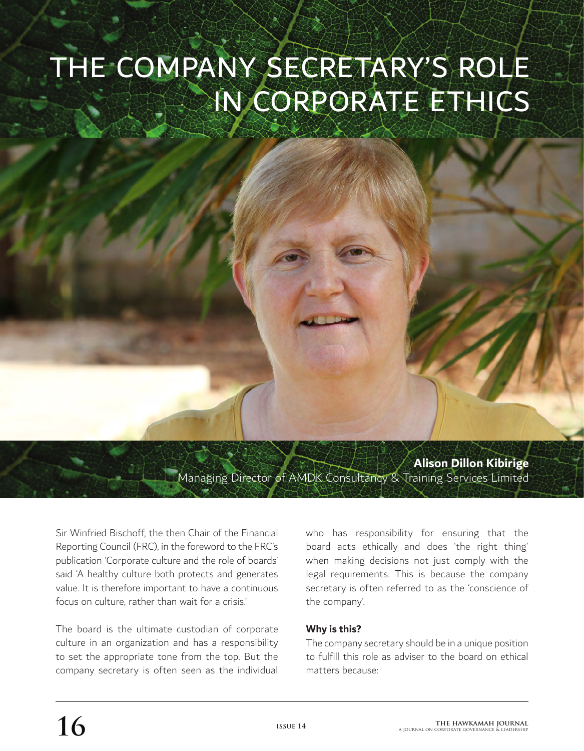# THE COMPANY SECRETARY'S ROLE IN CORPORATE ETHICS

**Alison Dillon Kibirige** Managing Director of AMDK Consultancy & Training Services Limited

Sir Winfried Bischoff, the then Chair of the Financial Reporting Council (FRC), in the foreword to the FRC's publication 'Corporate culture and the role of boards' said 'A healthy culture both protects and generates value. It is therefore important to have a continuous focus on culture, rather than wait for a crisis.'

The board is the ultimate custodian of corporate culture in an organization and has a responsibility to set the appropriate tone from the top. But the company secretary is often seen as the individual

who has responsibility for ensuring that the board acts ethically and does 'the right thing' when making decisions not just comply with the legal requirements. This is because the company secretary is often referred to as the 'conscience of the company'.

## **Why is this?**

The company secretary should be in a unique position to fulfill this role as adviser to the board on ethical matters because: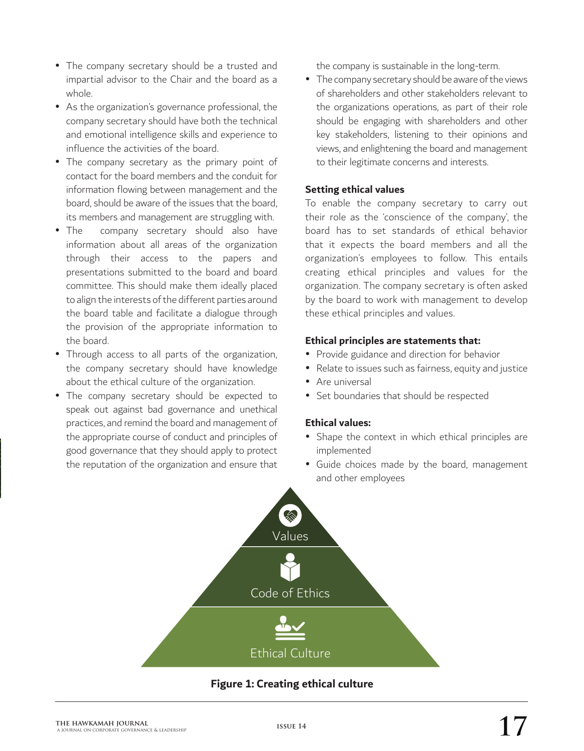- The company secretary should be a trusted and impartial advisor to the Chair and the board as a whole.
- As the organization's governance professional, the company secretary should have both the technical and emotional intelligence skills and experience to influence the activities of the board.
- The company secretary as the primary point of contact for the board members and the conduit for information flowing between management and the board, should be aware of the issues that the board, its members and management are struggling with.
- The company secretary should also have information about all areas of the organization through their access to the papers and presentations submitted to the board and board committee. This should make them ideally placed to align the interests of the different parties around the board table and facilitate a dialogue through the provision of the appropriate information to the board.
- Through access to all parts of the organization, the company secretary should have knowledge about the ethical culture of the organization.
- The company secretary should be expected to speak out against bad governance and unethical practices, and remind the board and management of the appropriate course of conduct and principles of good governance that they should apply to protect the reputation of the organization and ensure that

the company is sustainable in the long-term.

• The company secretary should be aware of the views of shareholders and other stakeholders relevant to the organizations operations, as part of their role should be engaging with shareholders and other key stakeholders, listening to their opinions and views, and enlightening the board and management to their legitimate concerns and interests.

### **Setting ethical values**

To enable the company secretary to carry out their role as the 'conscience of the company', the board has to set standards of ethical behavior that it expects the board members and all the organization's employees to follow. This entails creating ethical principles and values for the organization. The company secretary is often asked by the board to work with management to develop these ethical principles and values.

## **Ethical principles are statements that:**

- Provide guidance and direction for behavior
- Relate to issues such as fairness, equity and justice
- Are universal
- Set boundaries that should be respected

## **Ethical values:**

- Shape the context in which ethical principles are implemented
- Guide choices made by the board, management and other employees



## **Figure 1: Creating ethical culture**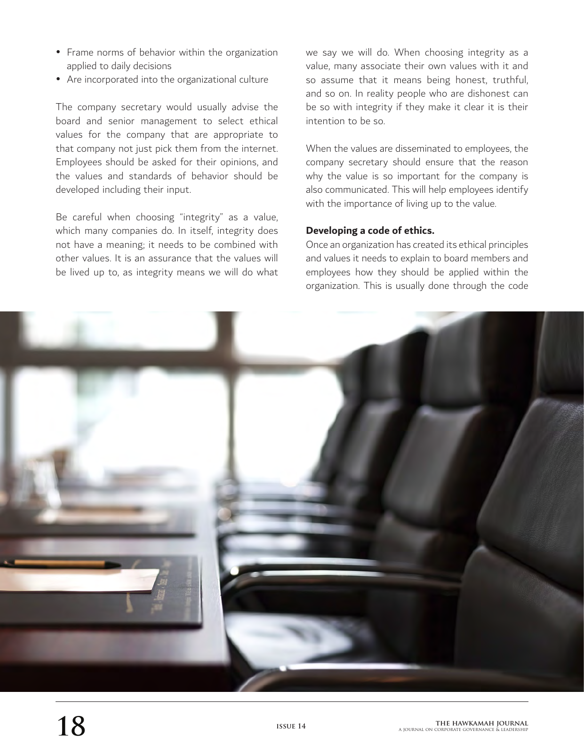- Frame norms of behavior within the organization applied to daily decisions
- Are incorporated into the organizational culture

The company secretary would usually advise the board and senior management to select ethical values for the company that are appropriate to that company not just pick them from the internet. Employees should be asked for their opinions, and the values and standards of behavior should be developed including their input.

Be careful when choosing "integrity" as a value, which many companies do. In itself, integrity does not have a meaning; it needs to be combined with other values. It is an assurance that the values will be lived up to, as integrity means we will do what we say we will do. When choosing integrity as a value, many associate their own values with it and so assume that it means being honest, truthful, and so on. In reality people who are dishonest can be so with integrity if they make it clear it is their intention to be so.

When the values are disseminated to employees, the company secretary should ensure that the reason why the value is so important for the company is also communicated. This will help employees identify with the importance of living up to the value.

## **Developing a code of ethics.**

Once an organization has created its ethical principles and values it needs to explain to board members and employees how they should be applied within the organization. This is usually done through the code

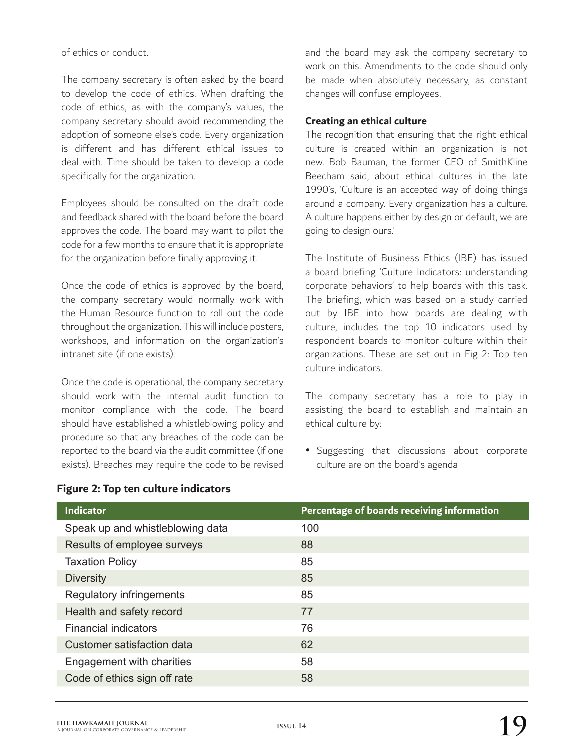of ethics or conduct.

The company secretary is often asked by the board to develop the code of ethics. When drafting the code of ethics, as with the company's values, the company secretary should avoid recommending the adoption of someone else's code. Every organization is different and has different ethical issues to deal with. Time should be taken to develop a code specifically for the organization.

Employees should be consulted on the draft code and feedback shared with the board before the board approves the code. The board may want to pilot the code for a few months to ensure that it is appropriate for the organization before finally approving it.

Once the code of ethics is approved by the board, the company secretary would normally work with the Human Resource function to roll out the code throughout the organization. This will include posters, workshops, and information on the organization's intranet site (if one exists).

Once the code is operational, the company secretary should work with the internal audit function to monitor compliance with the code. The board should have established a whistleblowing policy and procedure so that any breaches of the code can be reported to the board via the audit committee (if one exists). Breaches may require the code to be revised and the board may ask the company secretary to work on this. Amendments to the code should only be made when absolutely necessary, as constant changes will confuse employees.

## **Creating an ethical culture**

The recognition that ensuring that the right ethical culture is created within an organization is not new. Bob Bauman, the former CEO of SmithKline Beecham said, about ethical cultures in the late 1990's, 'Culture is an accepted way of doing things around a company. Every organization has a culture. A culture happens either by design or default, we are going to design ours.'

The Institute of Business Ethics (IBE) has issued a board briefing 'Culture Indicators: understanding corporate behaviors' to help boards with this task. The briefing, which was based on a study carried out by IBE into how boards are dealing with culture, includes the top 10 indicators used by respondent boards to monitor culture within their organizations. These are set out in Fig 2: Top ten culture indicators.

The company secretary has a role to play in assisting the board to establish and maintain an ethical culture by:

• Suggesting that discussions about corporate culture are on the board's agenda

| <b>Indicator</b>                 | Percentage of boards receiving information |
|----------------------------------|--------------------------------------------|
| Speak up and whistleblowing data | 100                                        |
| Results of employee surveys      | 88                                         |
| <b>Taxation Policy</b>           | 85                                         |
| <b>Diversity</b>                 | 85                                         |
| Regulatory infringements         | 85                                         |
| Health and safety record         | 77                                         |
| <b>Financial indicators</b>      | 76                                         |
| Customer satisfaction data       | 62                                         |
| Engagement with charities        | 58                                         |
| Code of ethics sign off rate     | 58                                         |

#### **Figure 2: Top ten culture indicators**